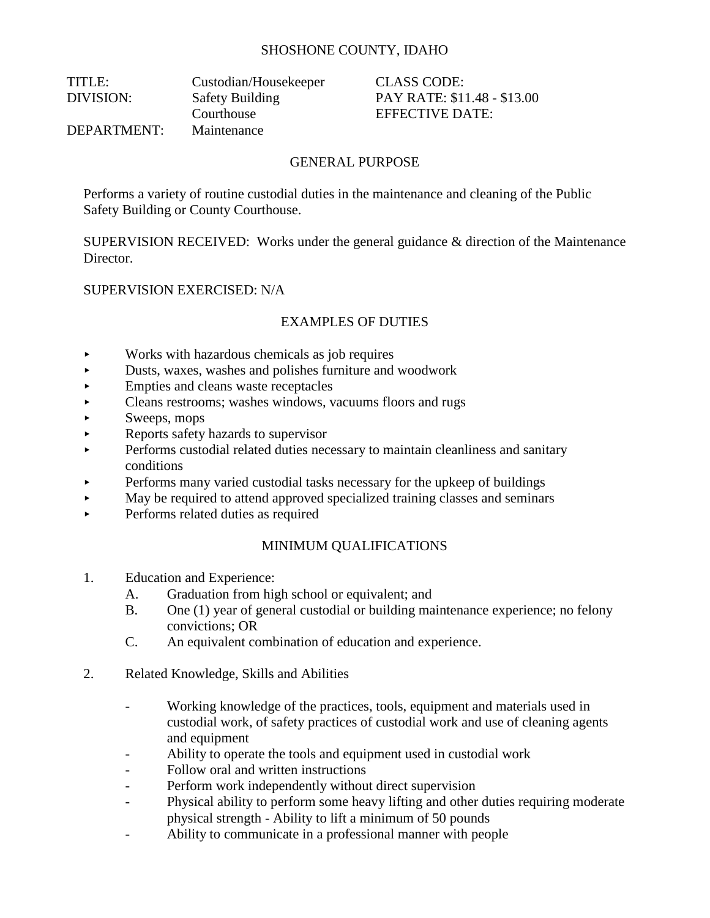# SHOSHONE COUNTY, IDAHO

| TITLE:      | Custodian/Housekeeper  |
|-------------|------------------------|
| DIVISION:   | <b>Safety Building</b> |
|             | Courthouse             |
| DEPARTMENT: | Maintenance            |
|             |                        |

CLASS CODE: PAY RATE: \$11.48 - \$13.00 EFFECTIVE DATE:

## GENERAL PURPOSE

Performs a variety of routine custodial duties in the maintenance and cleaning of the Public Safety Building or County Courthouse.

SUPERVISION RECEIVED: Works under the general guidance & direction of the Maintenance Director.

#### SUPERVISION EXERCISED: N/A

# EXAMPLES OF DUTIES

- Works with hazardous chemicals as job requires
- Dusts, waxes, washes and polishes furniture and woodwork
- Empties and cleans waste receptacles
- Cleans restrooms; washes windows, vacuums floors and rugs
- $\blacktriangleright$  Sweeps, mops
- Reports safety hazards to supervisor
- Performs custodial related duties necessary to maintain cleanliness and sanitary conditions
- Performs many varied custodial tasks necessary for the upkeep of buildings
- May be required to attend approved specialized training classes and seminars
- Performs related duties as required

#### MINIMUM QUALIFICATIONS

- 1. Education and Experience:
	- A. Graduation from high school or equivalent; and
	- B. One (1) year of general custodial or building maintenance experience; no felony convictions; OR
	- C. An equivalent combination of education and experience.
- 2. Related Knowledge, Skills and Abilities
	- Working knowledge of the practices, tools, equipment and materials used in custodial work, of safety practices of custodial work and use of cleaning agents and equipment
	- Ability to operate the tools and equipment used in custodial work
	- Follow oral and written instructions
	- Perform work independently without direct supervision
	- Physical ability to perform some heavy lifting and other duties requiring moderate physical strength - Ability to lift a minimum of 50 pounds
	- Ability to communicate in a professional manner with people